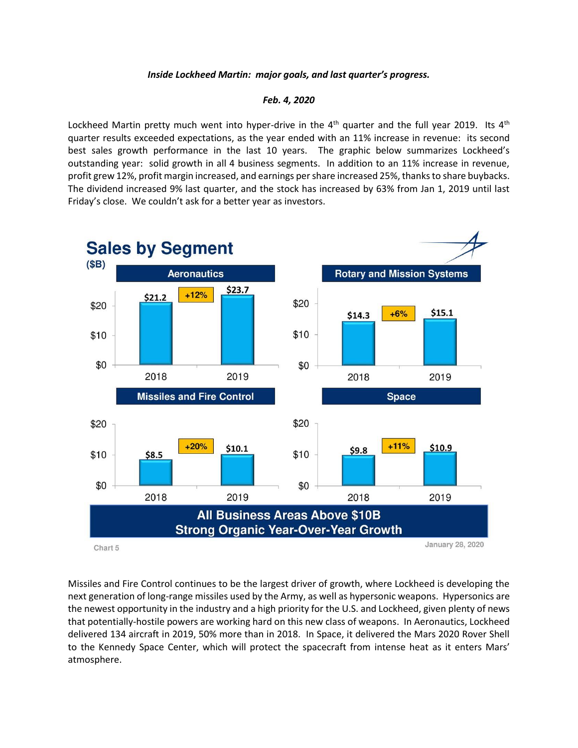## *Inside Lockheed Martin: major goals, and last quarter's progress.*

## *Feb. 4, 2020*

Lockheed Martin pretty much went into hyper-drive in the  $4<sup>th</sup>$  quarter and the full year 2019. Its  $4<sup>th</sup>$ quarter results exceeded expectations, as the year ended with an 11% increase in revenue: its second best sales growth performance in the last 10 years. The graphic below summarizes Lockheed's outstanding year: solid growth in all 4 business segments. In addition to an 11% increase in revenue, profit grew 12%, profit margin increased, and earnings per share increased 25%, thanks to share buybacks. The dividend increased 9% last quarter, and the stock has increased by 63% from Jan 1, 2019 until last Friday's close. We couldn't ask for a better year as investors.



Missiles and Fire Control continues to be the largest driver of growth, where Lockheed is developing the next generation of long-range missiles used by the Army, as well as hypersonic weapons. Hypersonics are the newest opportunity in the industry and a high priority for the U.S. and Lockheed, given plenty of news that potentially-hostile powers are working hard on this new class of weapons. In Aeronautics, Lockheed delivered 134 aircraft in 2019, 50% more than in 2018. In Space, it delivered the Mars 2020 Rover Shell to the Kennedy Space Center, which will protect the spacecraft from intense heat as it enters Mars' atmosphere.